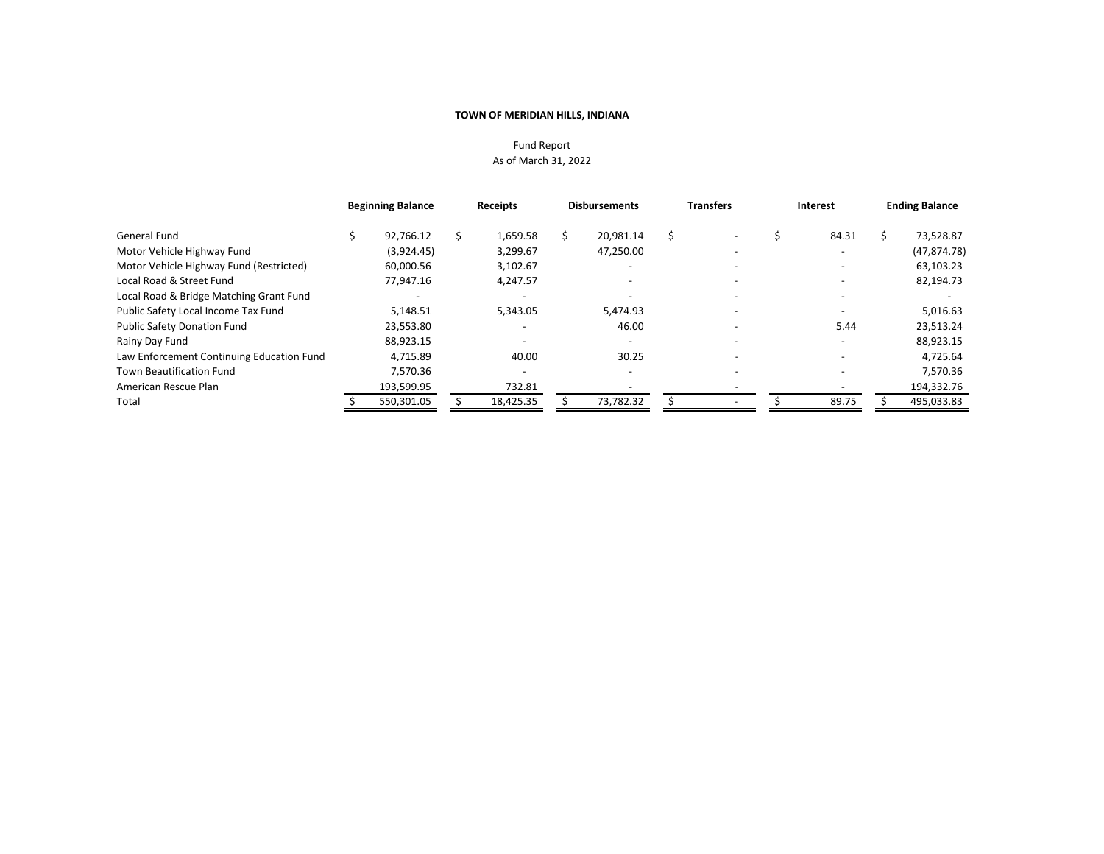## Fund Report As of March 31, 2022

|                                           | <b>Beginning Balance</b> | Receipts  | <b>Disbursements</b> | <b>Transfers</b>         | Interest | <b>Ending Balance</b> |
|-------------------------------------------|--------------------------|-----------|----------------------|--------------------------|----------|-----------------------|
| General Fund                              | 92.766.12                | 1,659.58  | 20.981.14            |                          | 84.31    | 73,528.87             |
| Motor Vehicle Highway Fund                | (3.924.45)               | 3,299.67  | 47,250.00            | $\overline{\phantom{a}}$ |          | (47, 874.78)          |
| Motor Vehicle Highway Fund (Restricted)   | 60.000.56                | 3,102.67  |                      |                          |          | 63,103.23             |
| Local Road & Street Fund                  | 77.947.16                | 4,247.57  |                      |                          |          | 82,194.73             |
| Local Road & Bridge Matching Grant Fund   |                          |           |                      |                          |          |                       |
| Public Safety Local Income Tax Fund       | 5,148.51                 | 5,343.05  | 5,474.93             |                          |          | 5,016.63              |
| <b>Public Safety Donation Fund</b>        | 23,553.80                |           | 46.00                |                          | 5.44     | 23,513.24             |
| Rainy Day Fund                            | 88.923.15                |           |                      |                          |          | 88,923.15             |
| Law Enforcement Continuing Education Fund | 4,715.89                 | 40.00     | 30.25                |                          |          | 4,725.64              |
| <b>Town Beautification Fund</b>           | 7,570.36                 |           |                      |                          |          | 7,570.36              |
| American Rescue Plan                      | 193,599.95               | 732.81    |                      |                          |          | 194,332.76            |
| Total                                     | 550,301.05               | 18,425.35 | 73,782.32            |                          | 89.75    | 495,033.83            |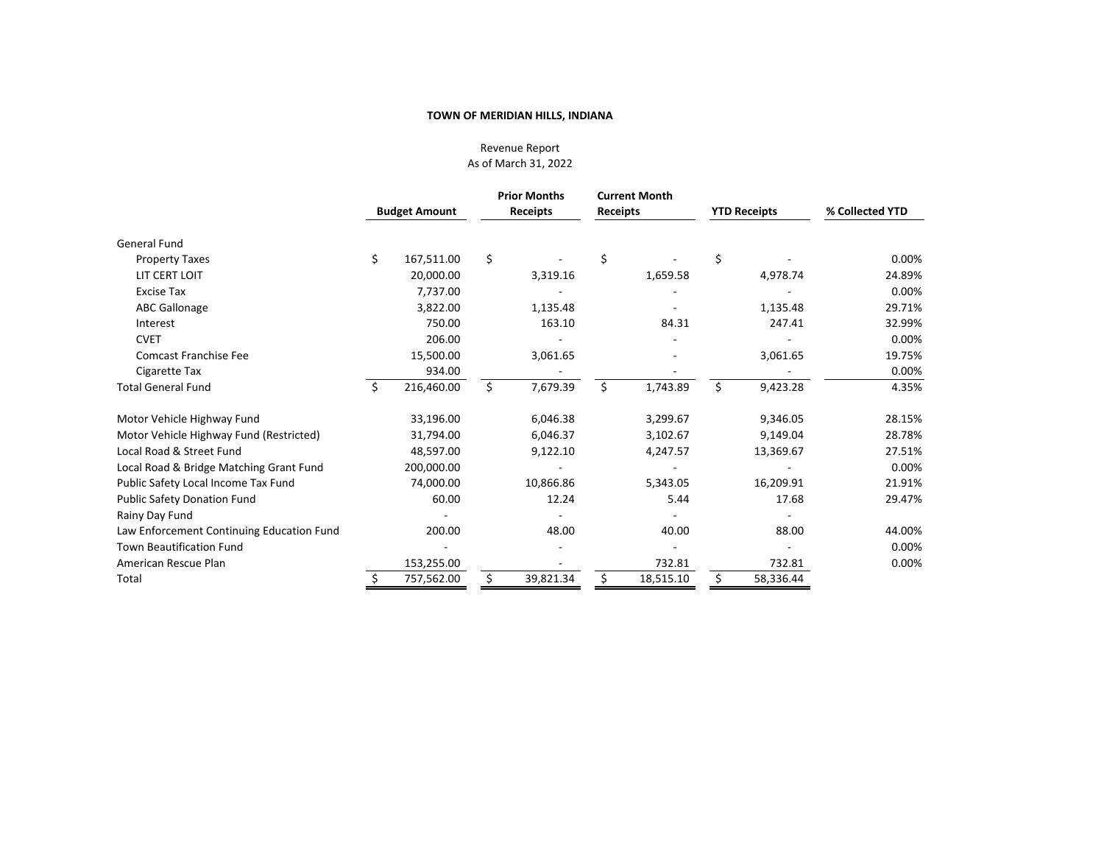Revenue Report As of March 31, 2022

|                                           |    | <b>Budget Amount</b> | <b>Prior Months</b><br><b>Receipts</b> |           | <b>Receipts</b> | <b>Current Month</b> |          | <b>YTD Receipts</b> | % Collected YTD |  |        |
|-------------------------------------------|----|----------------------|----------------------------------------|-----------|-----------------|----------------------|----------|---------------------|-----------------|--|--------|
|                                           |    |                      |                                        |           |                 |                      |          |                     |                 |  |        |
| General Fund                              |    |                      |                                        |           |                 |                      |          |                     |                 |  |        |
| <b>Property Taxes</b>                     | \$ | 167,511.00           | \$                                     |           | \$              |                      | \$       |                     | 0.00%           |  |        |
| LIT CERT LOIT                             |    | 20,000.00            |                                        | 3,319.16  |                 | 1,659.58             |          | 4,978.74            | 24.89%          |  |        |
| <b>Excise Tax</b>                         |    | 7,737.00             |                                        |           |                 |                      |          |                     | 0.00%           |  |        |
| <b>ABC Gallonage</b>                      |    | 3,822.00             |                                        | 1,135.48  |                 |                      |          | 1,135.48            | 29.71%          |  |        |
| Interest                                  |    | 750.00               |                                        | 163.10    |                 | 84.31                |          | 247.41              | 32.99%          |  |        |
| <b>CVET</b>                               |    | 206.00               |                                        |           |                 |                      |          |                     | 0.00%           |  |        |
| <b>Comcast Franchise Fee</b>              |    | 15,500.00            |                                        | 3,061.65  |                 |                      | 3,061.65 |                     |                 |  | 19.75% |
| Cigarette Tax                             |    | 934.00               |                                        |           |                 |                      |          |                     | 0.00%           |  |        |
| <b>Total General Fund</b>                 | Ŝ. | 216,460.00           | \$                                     | 7,679.39  | \$              | 1,743.89             | Ś.       | 9,423.28            | 4.35%           |  |        |
| Motor Vehicle Highway Fund                |    | 33,196.00            |                                        | 6,046.38  |                 | 3,299.67             |          | 9,346.05            | 28.15%          |  |        |
| Motor Vehicle Highway Fund (Restricted)   |    | 31,794.00            |                                        | 6,046.37  |                 | 3,102.67             |          | 9,149.04            | 28.78%          |  |        |
| Local Road & Street Fund                  |    | 48,597.00            |                                        | 9,122.10  |                 | 4,247.57             |          | 13,369.67           | 27.51%          |  |        |
| Local Road & Bridge Matching Grant Fund   |    | 200,000.00           |                                        |           |                 |                      |          |                     | 0.00%           |  |        |
| Public Safety Local Income Tax Fund       |    | 74,000.00            |                                        | 10,866.86 |                 | 5,343.05             |          | 16,209.91           | 21.91%          |  |        |
| <b>Public Safety Donation Fund</b>        |    | 60.00                |                                        | 12.24     |                 | 5.44                 |          | 17.68               | 29.47%          |  |        |
| Rainy Day Fund                            |    |                      |                                        |           |                 |                      |          |                     |                 |  |        |
| Law Enforcement Continuing Education Fund |    | 200.00               |                                        | 48.00     |                 | 40.00                |          | 88.00               | 44.00%          |  |        |
| <b>Town Beautification Fund</b>           |    |                      |                                        |           |                 |                      |          |                     | 0.00%           |  |        |
| American Rescue Plan                      |    | 153,255.00           |                                        |           |                 | 732.81               |          | 732.81              | 0.00%           |  |        |
| Total                                     |    | 757,562.00           | Ś                                      | 39,821.34 |                 | 18,515.10            | Ś.       | 58,336.44           |                 |  |        |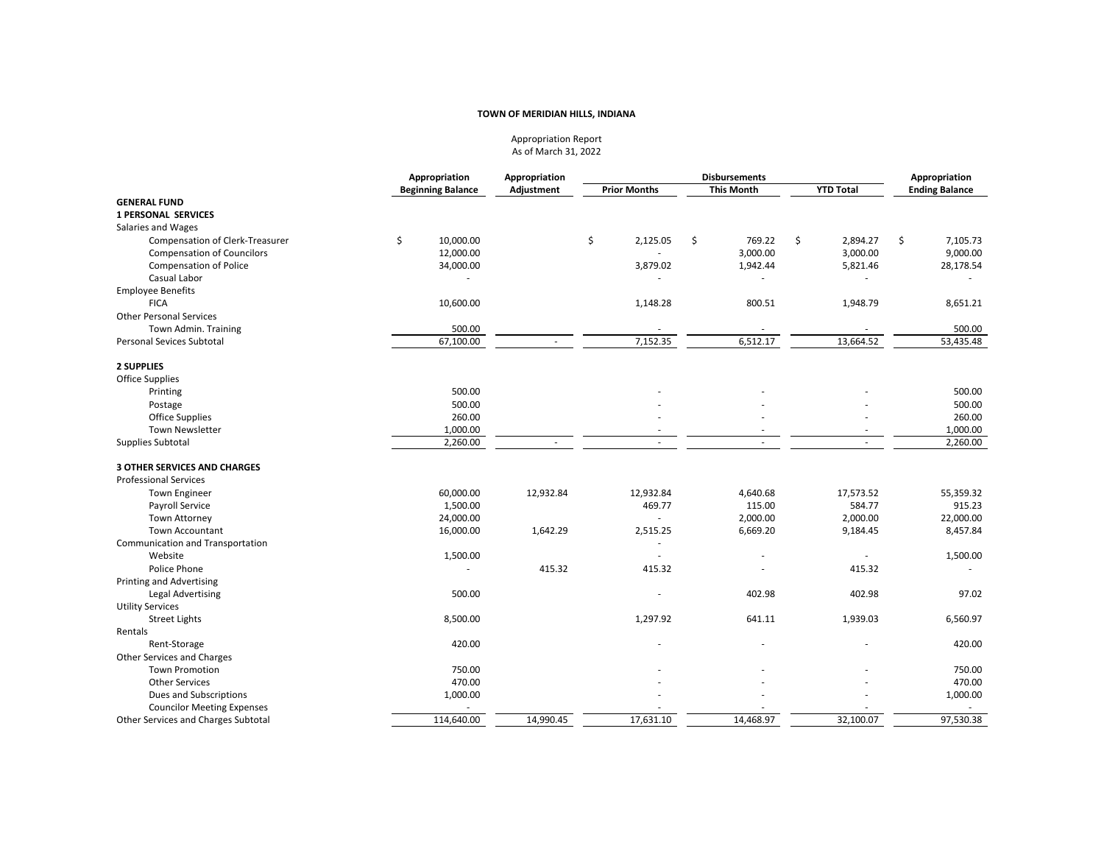Appropriation Report As of March 31, 2022

|                                     | Appropriation            | Appropriation | <b>Disbursements</b> |                   | Appropriation    |                          |
|-------------------------------------|--------------------------|---------------|----------------------|-------------------|------------------|--------------------------|
|                                     | <b>Beginning Balance</b> | Adjustment    | <b>Prior Months</b>  | <b>This Month</b> | <b>YTD Total</b> | <b>Ending Balance</b>    |
| <b>GENERAL FUND</b>                 |                          |               |                      |                   |                  |                          |
| <b>1 PERSONAL SERVICES</b>          |                          |               |                      |                   |                  |                          |
| Salaries and Wages                  |                          |               |                      |                   |                  |                          |
| Compensation of Clerk-Treasurer     | \$<br>10,000.00          |               | \$<br>2,125.05       | \$<br>769.22      | \$<br>2,894.27   | \$<br>7,105.73           |
| <b>Compensation of Councilors</b>   | 12,000.00                |               |                      | 3,000.00          | 3,000.00         | 9,000.00                 |
| <b>Compensation of Police</b>       | 34,000.00                |               | 3,879.02             | 1,942.44          | 5,821.46         | 28,178.54                |
| Casual Labor                        |                          |               |                      |                   |                  |                          |
| <b>Employee Benefits</b>            |                          |               |                      |                   |                  |                          |
| <b>FICA</b>                         | 10,600.00                |               | 1,148.28             | 800.51            | 1,948.79         | 8,651.21                 |
| <b>Other Personal Services</b>      |                          |               |                      |                   |                  |                          |
| Town Admin. Training                | 500.00                   |               |                      |                   |                  | 500.00                   |
| <b>Personal Sevices Subtotal</b>    | 67,100.00                |               | 7,152.35             | 6,512.17          | 13,664.52        | 53,435.48                |
| <b>2 SUPPLIES</b>                   |                          |               |                      |                   |                  |                          |
| <b>Office Supplies</b>              |                          |               |                      |                   |                  |                          |
| Printing                            | 500.00                   |               |                      |                   |                  | 500.00                   |
| Postage                             | 500.00                   |               |                      |                   |                  | 500.00                   |
| <b>Office Supplies</b>              | 260.00                   |               |                      |                   |                  | 260.00                   |
| <b>Town Newsletter</b>              | 1,000.00                 |               |                      |                   |                  | 1,000.00                 |
| Supplies Subtotal                   | 2,260.00                 |               | ÷.                   |                   |                  | 2,260.00                 |
| <b>3 OTHER SERVICES AND CHARGES</b> |                          |               |                      |                   |                  |                          |
| <b>Professional Services</b>        |                          |               |                      |                   |                  |                          |
| <b>Town Engineer</b>                | 60,000.00                | 12,932.84     | 12,932.84            | 4,640.68          | 17,573.52        | 55,359.32                |
| Payroll Service                     | 1,500.00                 |               | 469.77               | 115.00            | 584.77           | 915.23                   |
| <b>Town Attorney</b>                | 24,000.00                |               | ÷.                   | 2,000.00          | 2,000.00         | 22,000.00                |
| <b>Town Accountant</b>              | 16,000.00                | 1,642.29      | 2,515.25             | 6,669.20          | 9,184.45         | 8,457.84                 |
| Communication and Transportation    |                          |               |                      |                   |                  |                          |
| Website                             | 1,500.00                 |               |                      |                   |                  | 1,500.00                 |
| Police Phone                        |                          | 415.32        | 415.32               |                   | 415.32           |                          |
| Printing and Advertising            |                          |               |                      |                   |                  |                          |
| <b>Legal Advertising</b>            | 500.00                   |               |                      | 402.98            | 402.98           | 97.02                    |
| <b>Utility Services</b>             |                          |               |                      |                   |                  |                          |
| <b>Street Lights</b>                | 8,500.00                 |               | 1,297.92             | 641.11            | 1,939.03         | 6,560.97                 |
| Rentals                             |                          |               |                      |                   |                  |                          |
| Rent-Storage                        | 420.00                   |               |                      |                   |                  | 420.00                   |
| Other Services and Charges          |                          |               |                      |                   |                  |                          |
| <b>Town Promotion</b>               | 750.00                   |               |                      |                   |                  | 750.00                   |
| <b>Other Services</b>               | 470.00                   |               |                      |                   |                  | 470.00                   |
| Dues and Subscriptions              | 1,000.00                 |               |                      |                   |                  | 1,000.00                 |
| <b>Councilor Meeting Expenses</b>   |                          |               |                      |                   |                  | $\overline{\phantom{a}}$ |
| Other Services and Charges Subtotal | 114,640.00               | 14,990.45     | 17,631.10            | 14,468.97         | 32,100.07        | 97,530.38                |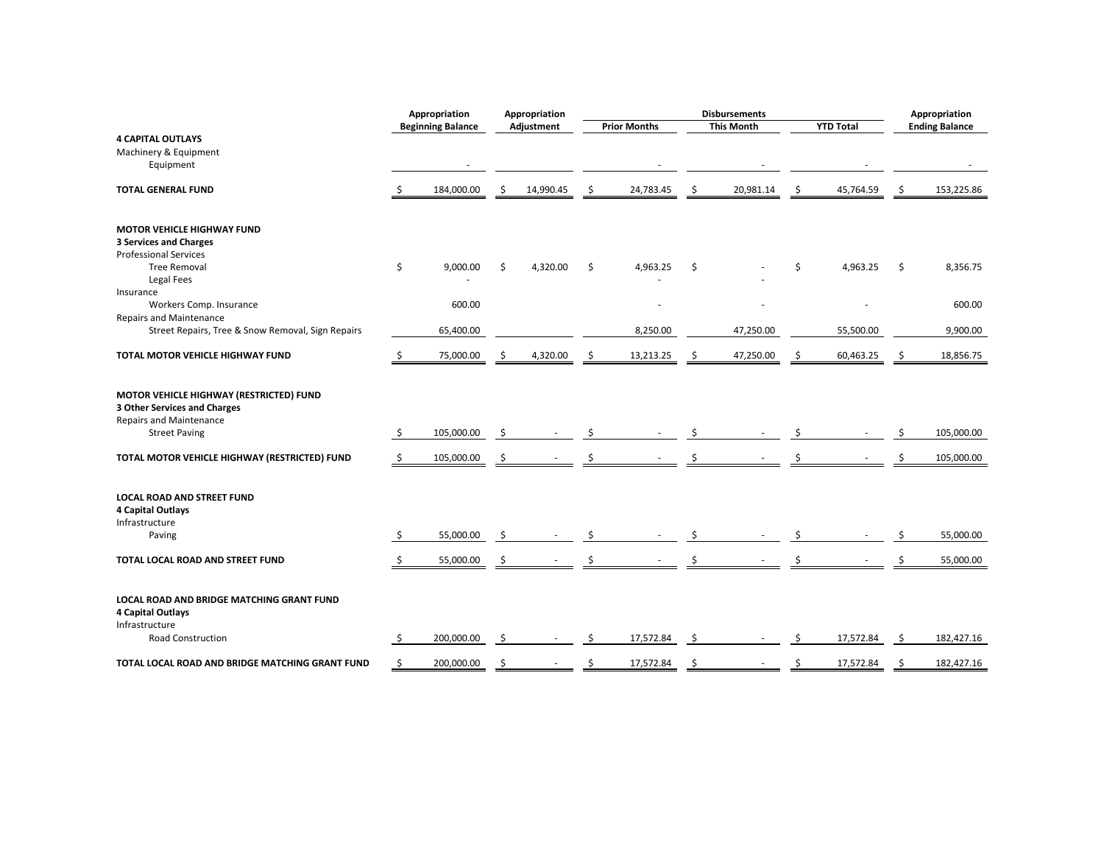|                                                                                                                                          |          | Appropriation            |          | Appropriation |    |                     |    | <b>Disbursements</b> |    |                  | Appropriation |                        |  |
|------------------------------------------------------------------------------------------------------------------------------------------|----------|--------------------------|----------|---------------|----|---------------------|----|----------------------|----|------------------|---------------|------------------------|--|
|                                                                                                                                          |          | <b>Beginning Balance</b> |          | Adjustment    |    | <b>Prior Months</b> |    | <b>This Month</b>    |    | <b>YTD Total</b> |               | <b>Ending Balance</b>  |  |
| <b>4 CAPITAL OUTLAYS</b>                                                                                                                 |          |                          |          |               |    |                     |    |                      |    |                  |               |                        |  |
| Machinery & Equipment                                                                                                                    |          |                          |          |               |    |                     |    |                      |    |                  |               |                        |  |
| Equipment                                                                                                                                |          |                          |          |               |    |                     |    |                      |    |                  |               |                        |  |
| <b>TOTAL GENERAL FUND</b>                                                                                                                | -\$      | 184,000.00               | Ŝ        | 14,990.45     | S  | 24,783.45           | -S | 20,981.14            | \$ | 45,764.59        | S             | 153,225.86             |  |
| MOTOR VEHICLE HIGHWAY FUND                                                                                                               |          |                          |          |               |    |                     |    |                      |    |                  |               |                        |  |
| <b>3 Services and Charges</b>                                                                                                            |          |                          |          |               |    |                     |    |                      |    |                  |               |                        |  |
| <b>Professional Services</b>                                                                                                             |          |                          |          |               |    |                     |    |                      |    |                  |               |                        |  |
| <b>Tree Removal</b>                                                                                                                      | \$       | 9,000.00                 | \$       | 4,320.00      | Ŝ. | 4,963.25            | \$ |                      | \$ | 4,963.25         | \$            | 8,356.75               |  |
| <b>Legal Fees</b>                                                                                                                        |          |                          |          |               |    |                     |    |                      |    |                  |               |                        |  |
| Insurance                                                                                                                                |          |                          |          |               |    |                     |    |                      |    |                  |               |                        |  |
| Workers Comp. Insurance<br>Repairs and Maintenance                                                                                       |          | 600.00                   |          |               |    |                     |    |                      |    |                  |               | 600.00                 |  |
| Street Repairs, Tree & Snow Removal, Sign Repairs                                                                                        |          | 65,400.00                |          |               |    | 8,250.00            |    | 47,250.00            |    | 55,500.00        |               | 9,900.00               |  |
|                                                                                                                                          |          |                          |          |               |    |                     |    |                      |    |                  |               |                        |  |
| <b>TOTAL MOTOR VEHICLE HIGHWAY FUND</b>                                                                                                  | -\$      | 75,000.00                | Ŝ        | 4,320.00      | -S | 13,213.25           | -S | 47,250.00            | Ŝ  | 60,463.25        | S             | 18,856.75              |  |
| MOTOR VEHICLE HIGHWAY (RESTRICTED) FUND<br><b>3 Other Services and Charges</b><br><b>Repairs and Maintenance</b><br><b>Street Paving</b> | \$       | 105,000.00               | Ś        |               |    |                     | Ś  |                      | Ś  |                  | Ŝ             | 105,000.00             |  |
| TOTAL MOTOR VEHICLE HIGHWAY (RESTRICTED) FUND                                                                                            | -\$      | 105,000.00               | Ŝ        |               |    |                     |    |                      |    |                  |               | 105,000.00             |  |
| <b>LOCAL ROAD AND STREET FUND</b><br>4 Capital Outlays<br>Infrastructure<br>Paving<br>TOTAL LOCAL ROAD AND STREET FUND                   | \$<br>\$ | 55,000.00<br>55,000.00   | \$<br>\$ |               | \$ |                     | Ś  |                      |    |                  |               | 55,000.00<br>55,000.00 |  |
| LOCAL ROAD AND BRIDGE MATCHING GRANT FUND<br>4 Capital Outlays<br>Infrastructure                                                         |          |                          |          |               |    |                     |    |                      |    |                  |               |                        |  |
| Road Construction                                                                                                                        | \$       | 200,000.00               | -\$      |               | Ŝ. | 17,572.84           | \$ |                      | Ŝ. | 17,572.84        | -\$           | 182,427.16             |  |
| TOTAL LOCAL ROAD AND BRIDGE MATCHING GRANT FUND                                                                                          | \$       | 200,000.00               | S        |               |    | 17,572.84           | Ŝ  |                      |    | 17,572.84        |               | 182,427.16             |  |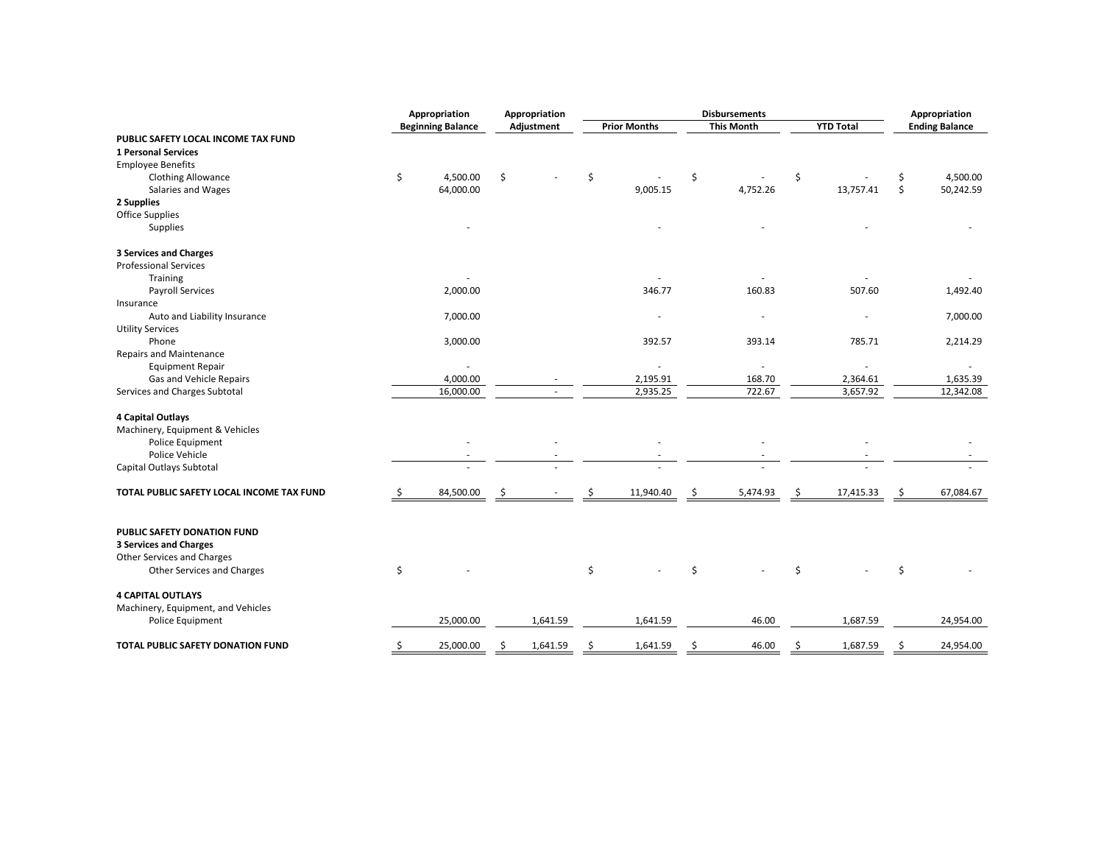|                                           | Appropriation            | <b>Disbursements</b><br>Appropriation |            |    | Appropriation       |    |                          |    |                  |    |                       |
|-------------------------------------------|--------------------------|---------------------------------------|------------|----|---------------------|----|--------------------------|----|------------------|----|-----------------------|
|                                           | <b>Beginning Balance</b> |                                       | Adjustment |    | <b>Prior Months</b> |    | <b>This Month</b>        |    | <b>YTD Total</b> |    | <b>Ending Balance</b> |
| PUBLIC SAFETY LOCAL INCOME TAX FUND       |                          |                                       |            |    |                     |    |                          |    |                  |    |                       |
| <b>1 Personal Services</b>                |                          |                                       |            |    |                     |    |                          |    |                  |    |                       |
| <b>Employee Benefits</b>                  |                          |                                       |            |    |                     |    |                          |    |                  |    |                       |
| <b>Clothing Allowance</b>                 | \$<br>4,500.00           | \$                                    |            | \$ |                     | \$ |                          | \$ |                  | \$ | 4,500.00              |
| Salaries and Wages                        | 64,000.00                |                                       |            |    | 9,005.15            |    | 4,752.26                 |    | 13,757.41        | \$ | 50,242.59             |
| 2 Supplies                                |                          |                                       |            |    |                     |    |                          |    |                  |    |                       |
| <b>Office Supplies</b>                    |                          |                                       |            |    |                     |    |                          |    |                  |    |                       |
| Supplies                                  |                          |                                       |            |    |                     |    |                          |    |                  |    |                       |
| <b>3 Services and Charges</b>             |                          |                                       |            |    |                     |    |                          |    |                  |    |                       |
| <b>Professional Services</b>              |                          |                                       |            |    |                     |    |                          |    |                  |    |                       |
| Training                                  |                          |                                       |            |    |                     |    |                          |    |                  |    |                       |
| <b>Payroll Services</b>                   | 2,000.00                 |                                       |            |    | 346.77              |    | 160.83                   |    | 507.60           |    | 1,492.40              |
| Insurance                                 |                          |                                       |            |    |                     |    |                          |    |                  |    |                       |
| Auto and Liability Insurance              | 7,000.00                 |                                       |            |    |                     |    | $\overline{\phantom{a}}$ |    |                  |    | 7,000.00              |
| <b>Utility Services</b>                   |                          |                                       |            |    |                     |    |                          |    |                  |    |                       |
| Phone                                     | 3,000.00                 |                                       |            |    | 392.57              |    | 393.14                   |    | 785.71           |    | 2,214.29              |
| <b>Repairs and Maintenance</b>            |                          |                                       |            |    |                     |    |                          |    |                  |    |                       |
| <b>Equipment Repair</b>                   |                          |                                       |            |    |                     |    |                          |    |                  |    |                       |
| Gas and Vehicle Repairs                   | 4,000.00                 |                                       |            |    | 2,195.91            |    | 168.70                   |    | 2,364.61         |    | 1,635.39              |
| Services and Charges Subtotal             | 16,000.00                |                                       |            |    | 2,935.25            |    | 722.67                   |    | 3,657.92         |    | 12,342.08             |
| 4 Capital Outlays                         |                          |                                       |            |    |                     |    |                          |    |                  |    |                       |
| Machinery, Equipment & Vehicles           |                          |                                       |            |    |                     |    |                          |    |                  |    |                       |
| Police Equipment                          |                          |                                       |            |    |                     |    |                          |    |                  |    |                       |
| Police Vehicle                            |                          |                                       |            |    |                     |    |                          |    |                  |    |                       |
| Capital Outlays Subtotal                  |                          |                                       |            |    |                     |    |                          |    |                  |    |                       |
| TOTAL PUBLIC SAFETY LOCAL INCOME TAX FUND | 84,500.00                |                                       |            |    | 11,940.40           | Ŝ  | 5,474.93                 | Ŝ  | 17,415.33        | \$ | 67,084.67             |
| PUBLIC SAFETY DONATION FUND               |                          |                                       |            |    |                     |    |                          |    |                  |    |                       |
| <b>3 Services and Charges</b>             |                          |                                       |            |    |                     |    |                          |    |                  |    |                       |
| Other Services and Charges                |                          |                                       |            |    |                     |    |                          |    |                  |    |                       |
| Other Services and Charges                | \$                       |                                       |            | \$ |                     | \$ |                          | Ś  |                  | \$ |                       |
| <b>4 CAPITAL OUTLAYS</b>                  |                          |                                       |            |    |                     |    |                          |    |                  |    |                       |
| Machinery, Equipment, and Vehicles        |                          |                                       |            |    |                     |    |                          |    |                  |    |                       |
| Police Equipment                          | 25,000.00                |                                       | 1,641.59   |    | 1,641.59            |    | 46.00                    |    | 1,687.59         |    | 24,954.00             |
| TOTAL PUBLIC SAFETY DONATION FUND         | \$<br>25,000.00          | Ś.                                    | 1,641.59   | Ś  | 1,641.59            | \$ | 46.00                    | Ś. | 1,687.59         | \$ | 24,954.00             |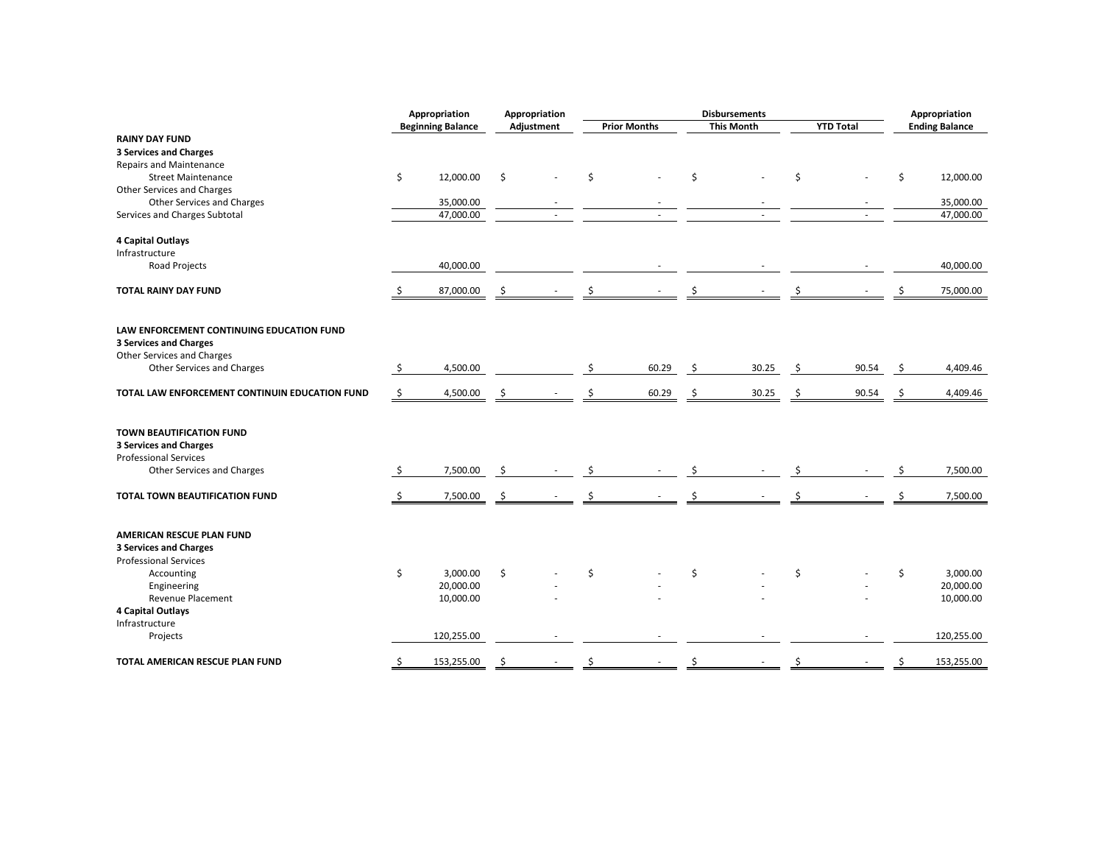|                                                |    | Appropriation            |     | Appropriation | <b>Disbursements</b> |    |                   | Appropriation |                  |     |                       |
|------------------------------------------------|----|--------------------------|-----|---------------|----------------------|----|-------------------|---------------|------------------|-----|-----------------------|
|                                                |    | <b>Beginning Balance</b> |     | Adjustment    | <b>Prior Months</b>  |    | <b>This Month</b> |               | <b>YTD Total</b> |     | <b>Ending Balance</b> |
| <b>RAINY DAY FUND</b>                          |    |                          |     |               |                      |    |                   |               |                  |     |                       |
| <b>3 Services and Charges</b>                  |    |                          |     |               |                      |    |                   |               |                  |     |                       |
| <b>Repairs and Maintenance</b>                 |    |                          |     |               |                      |    |                   |               |                  |     |                       |
| <b>Street Maintenance</b>                      | \$ | 12,000.00                | \$  |               | \$                   | Ś. |                   | \$            |                  | \$  | 12,000.00             |
| Other Services and Charges                     |    |                          |     |               |                      |    |                   |               |                  |     |                       |
| Other Services and Charges                     |    | 35,000.00                |     |               |                      |    |                   |               |                  |     | 35,000.00             |
| Services and Charges Subtotal                  |    | 47,000.00                |     | $\sim$        |                      |    |                   |               |                  |     | 47,000.00             |
| 4 Capital Outlays                              |    |                          |     |               |                      |    |                   |               |                  |     |                       |
| Infrastructure                                 |    |                          |     |               |                      |    |                   |               |                  |     |                       |
| Road Projects                                  |    | 40,000.00                |     |               |                      |    |                   |               |                  |     | 40,000.00             |
|                                                |    |                          |     |               |                      |    |                   |               |                  |     |                       |
| <b>TOTAL RAINY DAY FUND</b>                    | -Ş | 87,000.00                | S   |               |                      | S  |                   |               |                  |     | 75,000.00             |
|                                                |    |                          |     |               |                      |    |                   |               |                  |     |                       |
| LAW ENFORCEMENT CONTINUING EDUCATION FUND      |    |                          |     |               |                      |    |                   |               |                  |     |                       |
| <b>3 Services and Charges</b>                  |    |                          |     |               |                      |    |                   |               |                  |     |                       |
| Other Services and Charges                     |    |                          |     |               |                      |    |                   |               |                  |     |                       |
| Other Services and Charges                     | \$ | 4,500.00                 |     |               | 60.29                | Ŝ. | 30.25             | Ŝ.            | 90.54            | -\$ | 4,409.46              |
|                                                |    |                          |     |               |                      |    |                   |               |                  |     |                       |
| TOTAL LAW ENFORCEMENT CONTINUIN EDUCATION FUND | \$ | 4,500.00                 | \$. |               | 60.29                | Ŝ. | 30.25             | Ŝ             | 90.54            | Ŝ   | 4,409.46              |
|                                                |    |                          |     |               |                      |    |                   |               |                  |     |                       |
| TOWN BEAUTIFICATION FUND                       |    |                          |     |               |                      |    |                   |               |                  |     |                       |
| <b>3 Services and Charges</b>                  |    |                          |     |               |                      |    |                   |               |                  |     |                       |
| <b>Professional Services</b>                   |    |                          |     |               |                      |    |                   |               |                  |     |                       |
| Other Services and Charges                     | -S | 7,500.00                 | \$  |               |                      |    |                   |               |                  |     | 7,500.00              |
|                                                |    |                          |     |               |                      |    |                   |               |                  |     |                       |
| TOTAL TOWN BEAUTIFICATION FUND                 |    | 7,500.00                 | \$. |               |                      |    |                   |               |                  |     | 7,500.00              |
|                                                |    |                          |     |               |                      |    |                   |               |                  |     |                       |
| AMERICAN RESCUE PLAN FUND                      |    |                          |     |               |                      |    |                   |               |                  |     |                       |
| <b>3 Services and Charges</b>                  |    |                          |     |               |                      |    |                   |               |                  |     |                       |
| <b>Professional Services</b>                   |    |                          |     |               |                      |    |                   |               |                  |     |                       |
| Accounting                                     | \$ | 3,000.00                 | \$  |               | \$                   | \$ |                   | \$            |                  | \$  | 3,000.00              |
| Engineering                                    |    | 20,000.00                |     |               |                      |    |                   |               |                  |     | 20,000.00             |
| <b>Revenue Placement</b>                       |    | 10,000.00                |     |               |                      |    |                   |               |                  |     | 10,000.00             |
| 4 Capital Outlays                              |    |                          |     |               |                      |    |                   |               |                  |     |                       |
| Infrastructure                                 |    |                          |     |               |                      |    |                   |               |                  |     |                       |
| Projects                                       |    | 120,255.00               |     |               |                      |    |                   |               |                  |     | 120,255.00            |
|                                                |    |                          |     |               |                      |    |                   |               |                  |     |                       |
| TOTAL AMERICAN RESCUE PLAN FUND                | \$ | 153,255.00               | Ŝ.  |               | \$                   | Ś  |                   | Ś             |                  | \$  | 153,255.00            |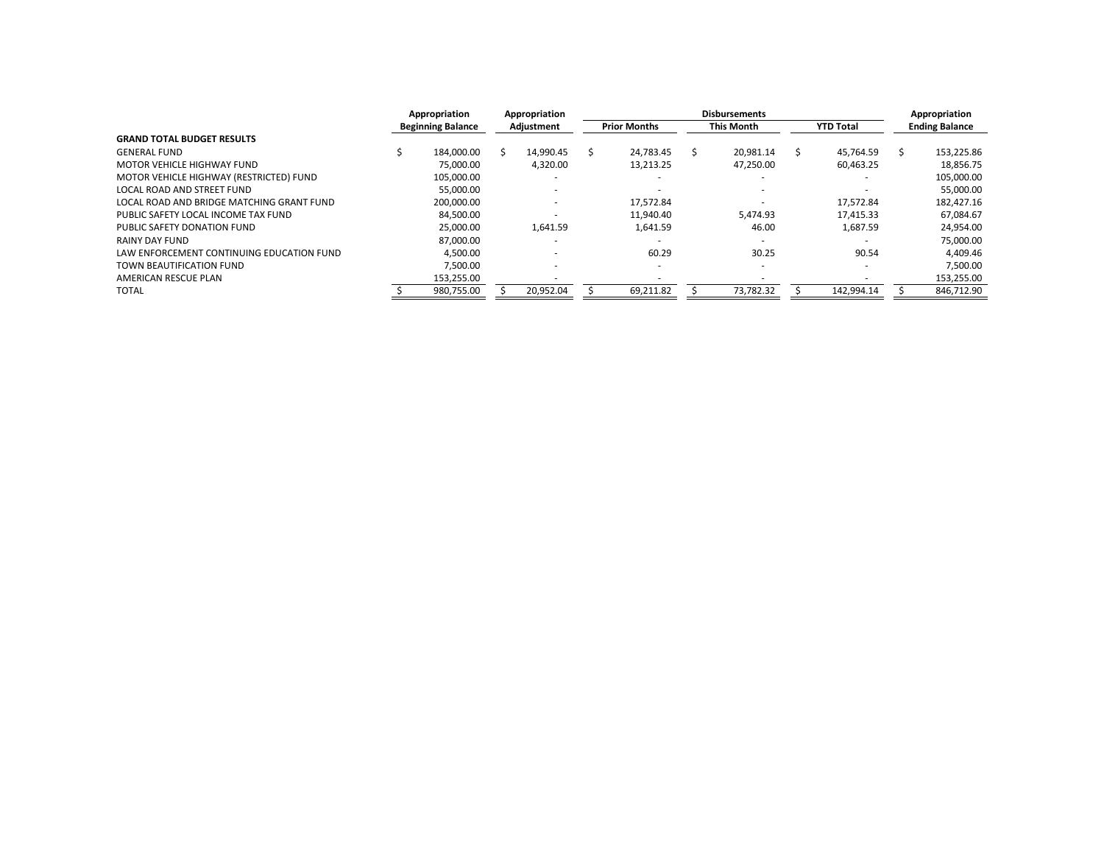|                                           | Appropriation |                          | Appropriation |            | <b>Disbursements</b> |                     |  |                   |  |                  |  | Appropriation         |  |
|-------------------------------------------|---------------|--------------------------|---------------|------------|----------------------|---------------------|--|-------------------|--|------------------|--|-----------------------|--|
|                                           |               | <b>Beginning Balance</b> |               | Adjustment |                      | <b>Prior Months</b> |  | <b>This Month</b> |  | <b>YTD Total</b> |  | <b>Ending Balance</b> |  |
| <b>GRAND TOTAL BUDGET RESULTS</b>         |               |                          |               |            |                      |                     |  |                   |  |                  |  |                       |  |
| <b>GENERAL FUND</b>                       |               | 184.000.00               |               | 14.990.45  |                      | 24.783.45           |  | 20.981.14         |  | 45.764.59        |  | 153,225.86            |  |
| MOTOR VEHICLE HIGHWAY FUND                |               | 75.000.00                |               | 4,320.00   |                      | 13,213.25           |  | 47,250.00         |  | 60,463.25        |  | 18,856.75             |  |
| MOTOR VEHICLE HIGHWAY (RESTRICTED) FUND   |               | 105.000.00               |               |            |                      |                     |  |                   |  |                  |  | 105,000.00            |  |
| LOCAL ROAD AND STREET FUND                |               | 55.000.00                |               |            |                      |                     |  |                   |  |                  |  | 55,000.00             |  |
| LOCAL ROAD AND BRIDGE MATCHING GRANT FUND |               | 200.000.00               |               |            |                      | 17.572.84           |  |                   |  | 17.572.84        |  | 182,427.16            |  |
| PUBLIC SAFETY LOCAL INCOME TAX FUND       |               | 84.500.00                |               |            |                      | 11.940.40           |  | 5.474.93          |  | 17,415.33        |  | 67,084.67             |  |
| PUBLIC SAFETY DONATION FUND               |               | 25.000.00                |               | 1.641.59   |                      | 1.641.59            |  | 46.00             |  | 1.687.59         |  | 24,954.00             |  |
| RAINY DAY FUND                            |               | 87,000.00                |               |            |                      |                     |  |                   |  |                  |  | 75,000.00             |  |
| LAW ENFORCEMENT CONTINUING EDUCATION FUND |               | 4.500.00                 |               |            |                      | 60.29               |  | 30.25             |  | 90.54            |  | 4.409.46              |  |
| TOWN BEAUTIFICATION FUND                  |               | 7.500.00                 |               |            |                      |                     |  |                   |  |                  |  | 7,500.00              |  |
| AMERICAN RESCUE PLAN                      |               | 153,255.00               |               |            |                      |                     |  |                   |  |                  |  | 153,255.00            |  |
| <b>TOTAL</b>                              |               | 980,755.00               |               | 20,952.04  |                      | 69,211.82           |  | 73,782.32         |  | 142,994.14       |  | 846,712.90            |  |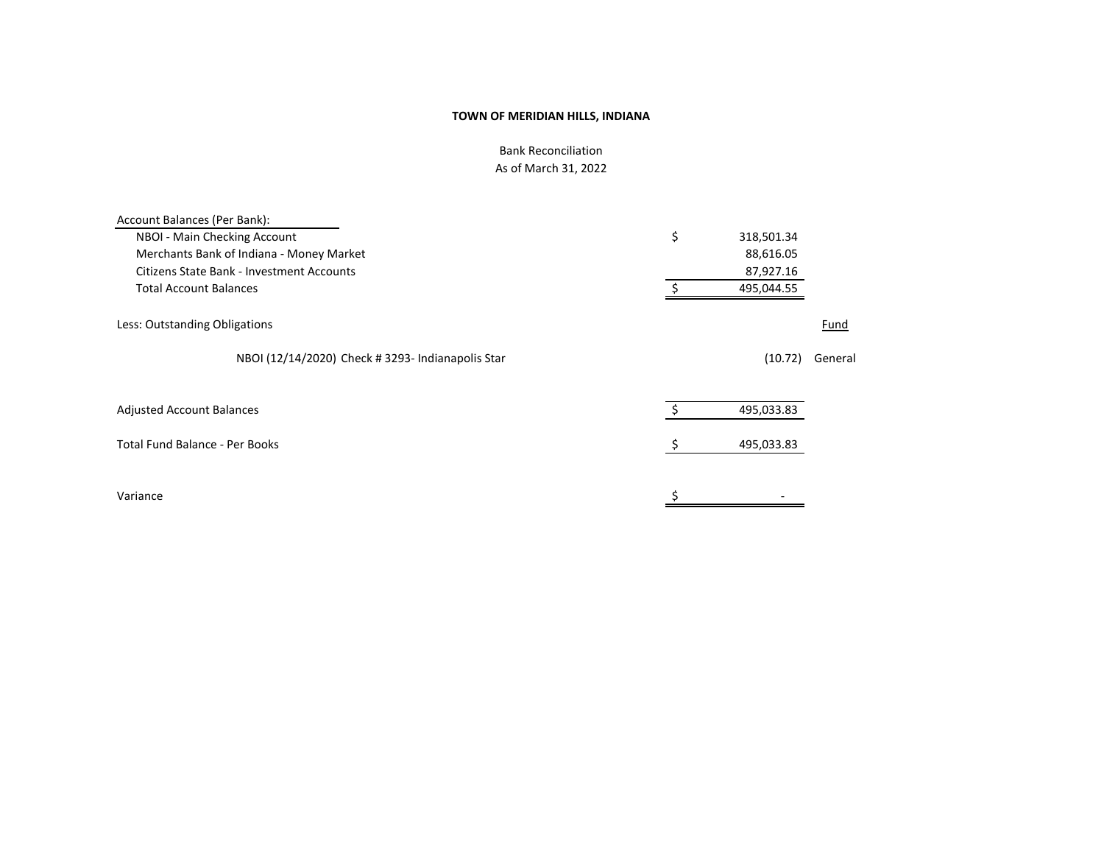Bank Reconciliation As of March 31, 2022

| Account Balances (Per Bank):                      |                  |         |
|---------------------------------------------------|------------------|---------|
| NBOI - Main Checking Account                      | \$<br>318,501.34 |         |
| Merchants Bank of Indiana - Money Market          | 88,616.05        |         |
| <b>Citizens State Bank - Investment Accounts</b>  | 87,927.16        |         |
| <b>Total Account Balances</b>                     | 495,044.55       |         |
| Less: Outstanding Obligations                     |                  | Fund    |
| NBOI (12/14/2020) Check # 3293- Indianapolis Star | (10.72)          | General |
| <b>Adjusted Account Balances</b>                  | 495,033.83       |         |
| <b>Total Fund Balance - Per Books</b>             | 495,033.83       |         |
| Variance                                          | \$               |         |